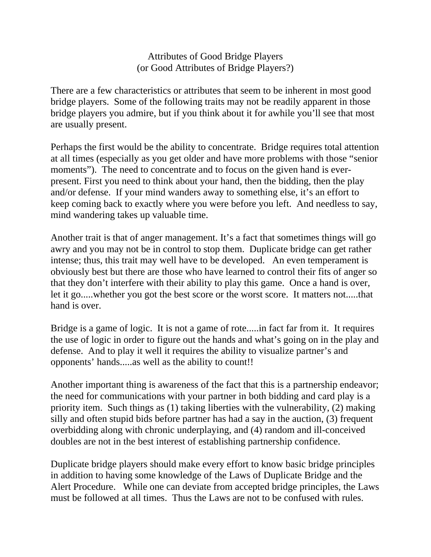Attributes of Good Bridge Players (or Good Attributes of Bridge Players?)

There are a few characteristics or attributes that seem to be inherent in most good bridge players. Some of the following traits may not be readily apparent in those bridge players you admire, but if you think about it for awhile you'll see that most are usually present.

Perhaps the first would be the ability to concentrate. Bridge requires total attention at all times (especially as you get older and have more problems with those "senior moments"). The need to concentrate and to focus on the given hand is everpresent. First you need to think about your hand, then the bidding, then the play and/or defense. If your mind wanders away to something else, it's an effort to keep coming back to exactly where you were before you left. And needless to say, mind wandering takes up valuable time.

Another trait is that of anger management. It's a fact that sometimes things will go awry and you may not be in control to stop them. Duplicate bridge can get rather intense; thus, this trait may well have to be developed. An even temperament is obviously best but there are those who have learned to control their fits of anger so that they don't interfere with their ability to play this game. Once a hand is over, let it go.....whether you got the best score or the worst score. It matters not.....that hand is over.

Bridge is a game of logic. It is not a game of rote.....in fact far from it. It requires the use of logic in order to figure out the hands and what's going on in the play and defense. And to play it well it requires the ability to visualize partner's and opponents' hands.....as well as the ability to count!!

Another important thing is awareness of the fact that this is a partnership endeavor; the need for communications with your partner in both bidding and card play is a priority item. Such things as (1) taking liberties with the vulnerability, (2) making silly and often stupid bids before partner has had a say in the auction, (3) frequent overbidding along with chronic underplaying, and (4) random and ill-conceived doubles are not in the best interest of establishing partnership confidence.

Duplicate bridge players should make every effort to know basic bridge principles in addition to having some knowledge of the Laws of Duplicate Bridge and the Alert Procedure. While one can deviate from accepted bridge principles, the Laws must be followed at all times. Thus the Laws are not to be confused with rules.